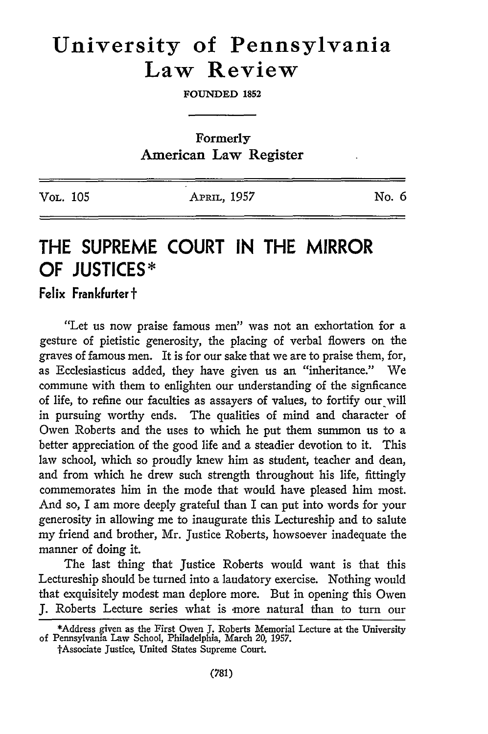## **University of Pennsylvania Law Review**

**FOUNDED 1852**

**Formerly American Law Register**

VOL. 105 APRIL, 1957 No. 6

## **THE SUPREME COURT IN THE MIRROR OF JUSTICES\***

**Felix Frankfurter** t

"Let us now praise famous men" was not an exhortation for a gesture of pietistic generosity, the placing of verbal flowers on the graves of famous men. It is for our sake that we are to praise them, for, as Ecclesiasticus added, they have given us an "inheritance." We commune with them to enlighten our understanding of the signficance of life, to refine our faculties as assayers of values, to fortify our will in pursuing worthy ends. The qualities of mind and character of Owen Roberts and the uses to which he put them summon us to a better appreciation of the good life and a steadier devotion to it. This law school, which so proudly knew him as student, teacher and dean, and from which he drew such strength throughout his life, fittingly commemorates him in the mode that would have pleased him most. And so, I am more deeply grateful than I can put into words for your generosity in allowing me to inaugurate this Lectureship and to salute my friend and brother, Mr. Justice Roberts, howsoever inadequate the manner of doing it.

The last thing that Justice Roberts would want is that this Lectureship should be turned into a laudatory exercise. Nothing would that exquisitely modest man deplore more. But in opening this Owen J. Roberts Lecture series what is more natural than to turn our

**(781)**

<sup>\*</sup>Address given as the First Owen **J.** Roberts Memorial Lecture at the University of Pennsylvania Law School, Philadelphia, March 20, 1957. tAssociate Justice, United States Supreme Court.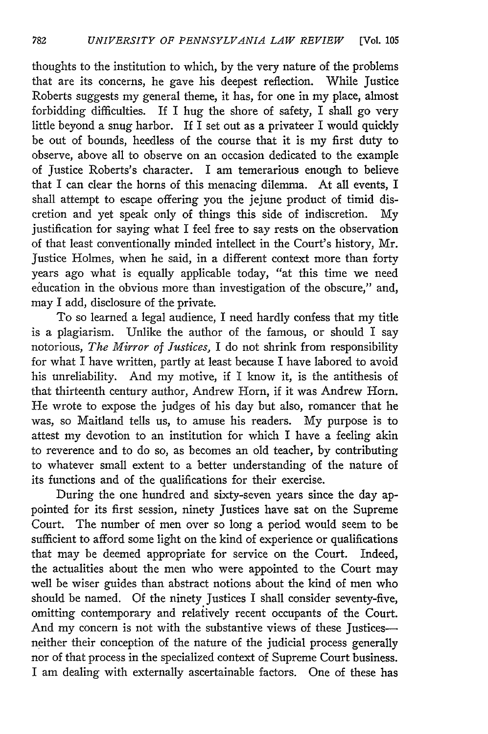thoughts to the institution to which, by the very nature of the problems that are its concerns, he gave his deepest reflection. While Justice Roberts suggests my general theme, it has, for one in my place, almost forbidding difficulties. If I hug the shore of safety, I shall go very little beyond a snug harbor. If I set out as a privateer I would quickly be out of bounds, heedless of the course that it is my first duty to observe, above all to observe on an occasion dedicated to the example of Justice Roberts's character. I am temerarious enough to believe that I can clear the horns of this menacing dilemma. At all events, I shall attempt to escape offering you the jejune product of timid discretion and yet speak only of things this side of indiscretion. My justification for saying what I feel free to say rests on the observation of that least conventionally minded intellect in the Court's history, Mr. Justice Holmes, when he said, in a different context more than forty years ago what is equally applicable today, "at this time we need education in the obvious more than investigation of the obscure," and, may I add, disclosure of the private.

To so learned a legal audience, I need hardly confess that my title is a plagiarism. Unlike the author of the famous, or should I say notorious, *The Mirror of Justices,* I do not shrink from responsibility for what I have written, partly at least because I have labored to avoid his unreliability. And my motive, if I know it, is the antithesis of that thirteenth century author, Andrew Horn, if it was Andrew Horn. He wrote to expose the judges of his day but also, romancer that he was, so Maitland tells us, to amuse his readers. My purpose is to attest my devotion to an institution for which I have a feeling akin to reverence and to do so, as becomes an old teacher, by contributing to whatever small extent to a better understanding of the nature of its functions and of the qualifications for their exercise.

During the one hundred and sixty-seven years since the day appointed for its first session, ninety Justices have sat on the Supreme Court. The number of men over so long a period would seem to be sufficient to afford some light on the kind of experience or qualifications that may be deemed appropriate for service on the Court. Indeed, the actualities about the men who were appointed to the Court may well be wiser guides than abstract notions about the kind of men who should be named. Of the ninety Justices I shall consider seventy-five, omitting contemporary and relatively recent occupants of the Court. And my concern is not with the substantive views of these Justicesneither their conception of the nature of the judicial process generally nor of that process in the specialized context of Supreme Court business. I am dealing with externally ascertainable factors. One of these has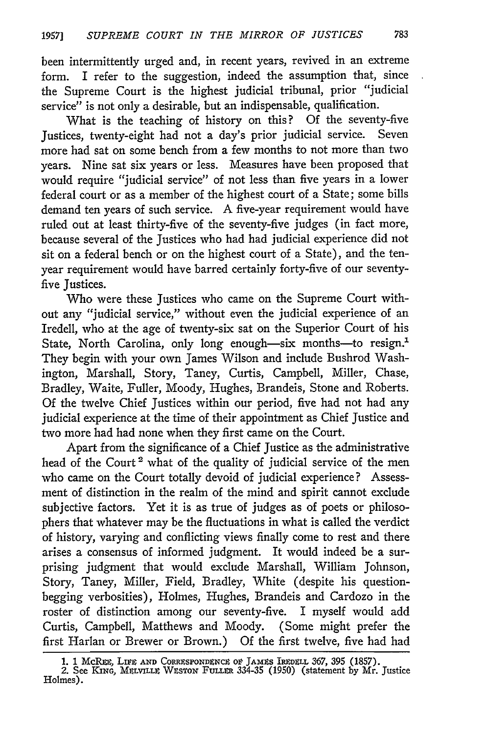been intermittently urged and, in recent years, revived in an extreme form. I refer to the suggestion, indeed the assumption that, since the Supreme Court is the highest judicial tribunal, prior "judicial service" is not only a desirable, but an indispensable, qualification.

What is the teaching of history on this? Of the seventy-five Justices, twenty-eight had not a day's prior judicial service. Seven more had sat on some bench from a few months to not more than two years. Nine sat six years or less. Measures have been proposed that would require "judicial service" of not less than five years in a lower federal court or as a member of the highest court of a State; some bills demand ten years of such service. A five-year requirement would have ruled out at least thirty-five of the seventy-five judges (in fact more, because several of the Justices who had had judicial experience did not sit on a federal bench or on the highest court of a State), and the tenyear requirement would have barred certainly forty-five of our seventyfive Justices.

Who were these Justices who came on the Supreme Court without any "judicial service," without even the judicial experience of an Iredell, who at the age of twenty-six sat on the Superior Court of his State, North Carolina, only long enough-six months-to resign.<sup>1</sup> They begin with your own James Wilson and include Bushrod Washington, Marshall, Story, Taney, Curtis, Campbell, Miller, Chase, Bradley, Waite, Fuller, Moody, Hughes, Brandeis, Stone and Roberts. Of the twelve Chief Justices within our period, five had not had any judicial experience at the time of their appointment as Chief Justice and two more had had none when they first came on the Court.

Apart from the significance of a Chief Justice as the administrative head of the Court<sup>2</sup> what of the quality of judicial service of the men who came on the Court totally devoid of judicial experience? Assessment of distinction in the realm of the mind and spirit cannot exclude subjective factors. Yet it is as true of judges as of poets or philosophers that whatever may be the fluctuations in what is called the verdict of history, varying and conflicting views finally come to rest and there arises a consensus of informed judgment. It would indeed be a surprising judgment that would exclude Marshall, William Johnson, Story, Taney, Miller, Field, Bradley, White (despite his questionbegging verbosities), Holmes, Hughes, Brandeis and Cardozo in the roster of distinction among our seventy-five. I myself would add Curtis, Campbell, Matthews and Moody. (Some might prefer the first Harlan or Brewer or Brown.) Of the first twelve, five had had

<sup>1. 1</sup> McRee, Life and Correspondence of James Iredell 367, 395 (1857).<br>2. See King, Melville Weston Fuller 334-35 (1950) (statement by Mr. Justice

Holmes).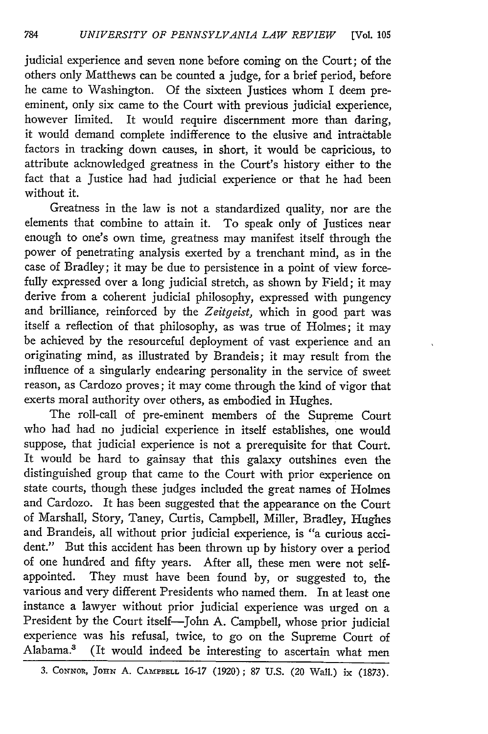judicial experience and seven none before coming on the Court; of the others only Matthews can be counted a judge, for a brief period, before he came to Washington. Of the sixteen Justices whom I deem preeminent, only six came to the Court with previous judicial experience, however limited. It would require discernment more than daring, it would demand complete indifference to the elusive and intractable factors in tracking down causes, in short, it would be capricious, to attribute acknowledged greatness in the Court's history either to the fact that a Justice had had judicial experience or that he had been without it.

Greatness in the law is not a standardized quality, nor are the elements that combine to attain it. To speak only of Justices near enough to one's own time, greatness may manifest itself through the power of penetrating analysis exerted by a trenchant mind, as in the case of Bradley; it may be due to persistence in a point of view forcefully expressed over a long judicial stretch, as shown by Field; it may derive from a coherent judicial philosophy, expressed with pungency and brilliance, reinforced by the *Zeitgeist,* which in good part was itself a reflection of that philosophy, as was true of Holmes; it may be achieved by the resourceful deployment of vast experience and an originating mind, as illustrated by Brandeis; it may result from the influence of a singularly endearing personality in the service of sweet reason, as Cardozo proves; it may come through the kind of vigor that exerts moral authority over others, as embodied in Hughes.

The roll-call of pre-eminent members of the Supreme Court who had had no judicial experience in itself establishes, one would suppose, that judicial experience is not a prerequisite for that Court. It would be hard to gainsay that this galaxy outshines even the distinguished group that came to the Court with prior experience on state courts, though these judges included the great names of Holmes and Cardozo. It has been suggested that the appearance on the Court of Marshall, Story, Taney, Curtis, Campbell, Miller, Bradley, Hughes and Brandeis, all without prior judicial experience, is "a curious accident." But this accident has been thrown up by history over a period of one hundred and fifty years. After all, these men were not selfappointed. They must have been found by, or suggested to, the various and very different Presidents who named them. In at least one instance a lawyer without prior judicial experience was urged on a President by the Court itself-John A. Campbell, whose prior judicial experience was his refusal, twice, to go on the Supreme Court of Alabama.<sup>3</sup> (It would indeed be interesting to ascertain what men (It would indeed be interesting to ascertain what men

**<sup>3.</sup>** CONNOR, **JoHN** A. **CAMPBELL 16-17 (1920); 87** U.S. (20 Wall.) ix **(1873).**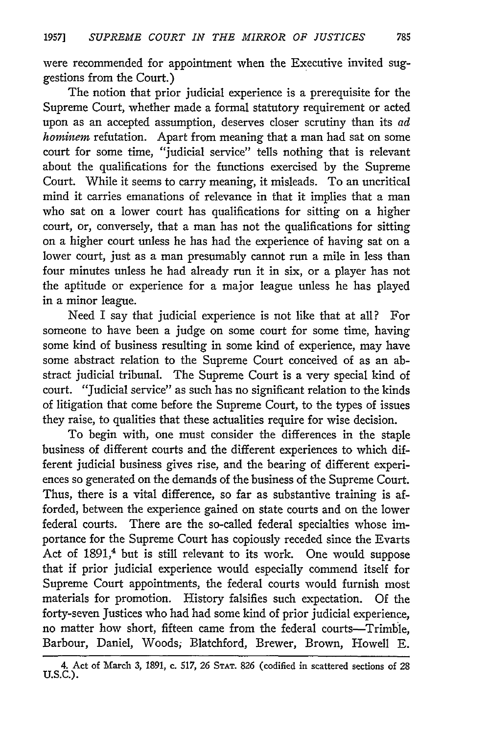were recommended for appointment when the Executive invited suggestions from the Court.)

The notion that prior judicial experience is a prerequisite for the Supreme Court, whether made a formal statutory requirement or acted upon as an accepted assumption, deserves closer scrutiny than its *ad hominem* refutation. Apart from meaning that a man had sat on some court for some time, "judicial service" tells nothing that is relevant about the qualifications for the functions exercised by the Supreme Court. While it seems to carry meaning, it misleads. To an uncritical mind it carries emanations of relevance in that it implies that a man who sat on a lower court has qualifications for sitting on a higher court, or, conversely, that a man has not the qualifications for sitting on a higher court unless he has had the experience of having sat on a lower court, just as a man presumably cannot run a mile in less than four minutes unless he had already run it in six, or a player has not the aptitude or experience for a major league unless he has played in a minor league.

Need I say that judicial experience is not like that at all? For someone to have been a judge on some court for some time, having some kind of business resulting in some kind of experience, may have some abstract relation to the Supreme Court conceived of as an abstract judicial tribunal. The Supreme Court is a very special kind of court. "Judicial service" as such has no significant relation to the kinds of litigation that come before the Supreme Court, to the types of issues they raise, to qualities that these actualities require for wise decision.

To begin with, one must consider the differences in the staple business of different courts and the different experiences to which different judicial business gives rise, and the bearing of different experiences so generated on the demands of the business of the Supreme Court. Thus, there is a vital difference, so far as substantive training is afforded, between the experience gained on state courts and on the lower federal courts. There are the so-called federal specialties whose importance for the Supreme Court has copiously receded since the Evarts Act of 1891,<sup>4</sup> but is still relevant to its work. One would suppose that if prior judicial experience would especially commend itself for Supreme Court appointments, the federal courts would furnish most materials for promotion. History falsifies such expectation. Of the forty-seven Justices who had had some kind of prior judicial experience, no matter how short, fifteen came from the federal courts-Trimble, Barbour, Daniel, Woods, Blatchford, Brewer, Brown, Howell **E.**

<sup>4.</sup> Act of March **3, 1891,** c. **517,** 26 **STAT. 826** (codified in scattered sections of 28 **U.S.C.).**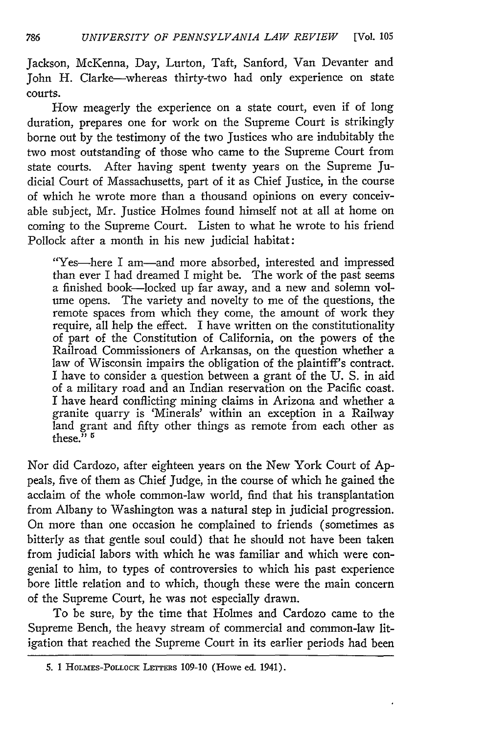Jackson, McKenna, Day, Lurton, Taft, Sanford, Van Devanter and John H. Clarke-whereas thirty-two had only experience on state courts.

How meagerly the experience on a state court, even if of long duration, prepares one for work on the Supreme Court is strikingly borne out by the testimony of the two Justices who are indubitably the two most outstanding of those who came to the Supreme Court from state courts. After having spent twenty years on the Supreme Judicial Court of Massachusetts, part of it as Chief justice, in the course of which he wrote more than a thousand opinions on every conceivable subject, Mr. Justice Holmes found himself not at all at home on coming to the Supreme Court. Listen to what he wrote to his friend Pollock after a month in his new judicial habitat:

"Yes-here I am-and more absorbed, interested and impressed than ever I had dreamed I might be. The work of the past seems a finished book-locked up far away, and a new and solemn volume opens. The variety and novelty to me of the questions, the remote spaces from which they come, the amount of work they require, all help the effect. I have written on the constitutionality of part of the Constitution of California, on the powers of the Railroad Commissioners of Arkansas, on the question whether a law of Wisconsin impairs the obligation of the plaintiff's contract. I have to consider a question between a grant of the U. S. in aid of a military road and an Indian reservation on the Pacific coast. I have heard conflicting mining claims in Arizona and whether a granite quarry is 'Minerals' within an exception in a Railway land grant and fifty other things as remote from each other as these.<sup> $\bar{v}$ </sup>

Nor did Cardozo, after eighteen years on the New York Court of **Ap**peals, five of them as Chief Judge, in the course of which he gained the acclaim of the whole common-law world, find that his transplantation from Albany to Washington was a natural step in judicial progression. On more than one occasion he complained to friends (sometimes as bitterly as that gentle soul could) that he should not have been taken from judicial labors with which he was familiar and which were congenial to him, to types of controversies to which his past experience bore little relation and to which, though these were the main concern of the Supreme Court, he was not especially drawn.

To be sure, by the time that Holmes and Cardozo came to the Supreme Bench, the heavy stream of commercial and common-law litigation that reached the Supreme Court in its earlier periods had been

**<sup>5. 1</sup>** HOLMES-POLLOCK **LETTERS 109-10** (Howe ed. 1941).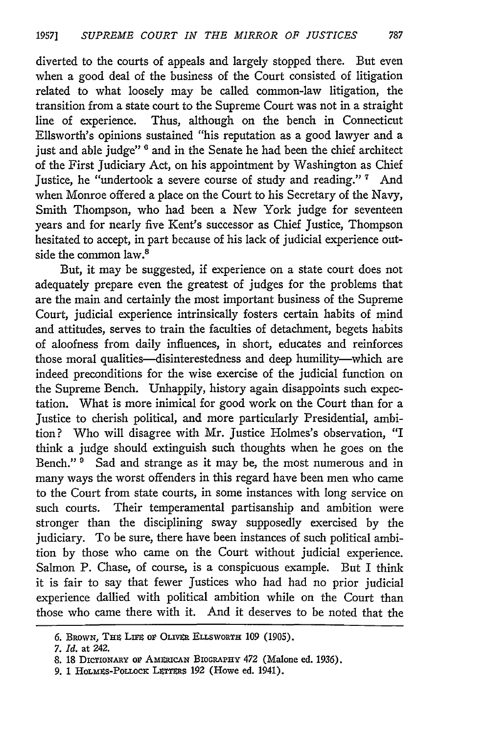diverted to the courts of appeals and largely stopped there. But even when a good deal of the business of the Court consisted of litigation related to what loosely may be called common-law litigation, the transition from a state court to the Supreme Court was not in a straight line of experience. Thus, although on the bench in Connecticut Ellsworth's opinions sustained "his reputation as a good lawyer and a just and able judge" **'** and in the Senate he had been the chief architect of the First Judiciary Act, on his appointment by Washington as Chief Justice, he "undertook a severe course of study and reading."<sup>7</sup> And when Monroe offered a place on the Court to his Secretary of the Navy, Smith Thompson, who had been a New York judge for seventeen years and for nearly five Kent's successor as Chief Justice, Thompson hesitated to accept, in part because of his lack of judicial experience outside the common law.<sup>8</sup>

But, it may be suggested, if experience on a state court does not adequately prepare even the greatest of judges for the problems that are the main and certainly the most important business of the Supreme Court, judicial experience intrinsically fosters certain habits of mind and attitudes, serves to train the faculties of detachment, begets habits of aloofness from daily influences, in short, educates and reinforces those moral qualities-disinterestedness and deep humility-which are indeed preconditions for the wise exercise of the judicial function on the Supreme Bench. Unhappily, history again disappoints such expectation. What is more inimical for good work on the Court than for a Justice to cherish political, and more particularly Presidential, ambition? Who will disagree with Mr. Justice Holmes's observation, "I think a judge should extinguish such thoughts when he goes on the Bench." **9** Sad and strange as it may be, the most numerous and in many ways the worst offenders in this regard have been men who came to the Court from state courts, in some instances with long service on such courts. Their temperamental partisanship and ambition were stronger than the disciplining sway supposedly exercised by the judiciary. To be sure, there have been instances of such political ambition by those who came on the Court without judicial experience. Salmon P. Chase, of course, is a conspicuous example. But I think it is fair to say that fewer Justices who had had no prior judicial experience dallied with political ambition while on the Court than those who came there with it. And it deserves to be noted that the

**<sup>6.</sup> BROWN, THE LIFE OF OLIVER ELLSWORTH 109 (1905).** 

*<sup>7.</sup> Id.* at 242.

<sup>8. 18</sup> DICTIONARY OF AMERICAN BIOGRAPHY 472 (Malone ed. 1936).

**<sup>9. 1</sup>** HoLMxs-PoLLocK **L4rras 192** (Howe ed. 1941).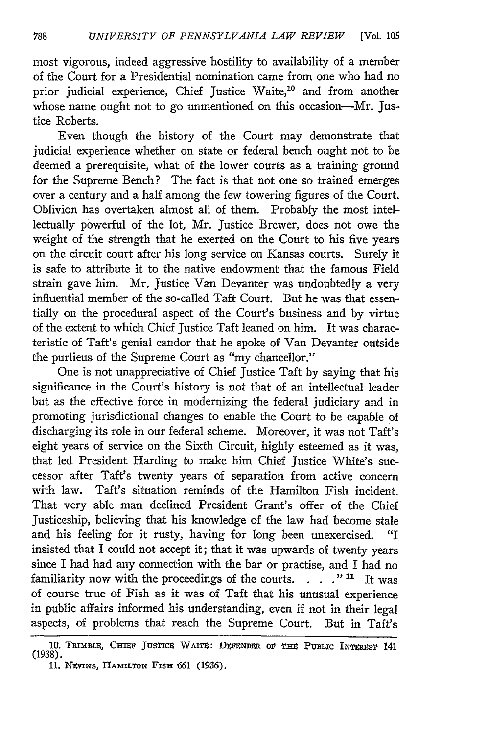most vigorous, indeed aggressive hostility to availability of a member of the Court for a Presidential nomination came from one who had no prior judicial experience, Chief Justice Waite,<sup>10</sup> and from another whose name ought not to go unmentioned on this occasion-Mr. Justice Roberts.

Even though the history of the Court may demonstrate that judicial experience whether on state or federal bench ought not to be deemed a prerequisite, what of the lower courts as a training ground for the Supreme Bench? The fact is that not one so trained emerges over a century and a half among the few towering figures of the Court. Oblivion has overtaken almost all of them. Probably the most intellectually powerful of the lot, Mr. Justice Brewer, does not owe the weight of the strength that he exerted on the Court to his five years on the circuit court after his long service on Kansas courts. Surely it is safe to attribute it to the native endowment that the famous Field strain gave him. Mr. Justice Van Devanter was undoubtedly a very influential member of the so-called Taft Court. But he was that essentially on the procedural aspect of the Court's business and by virtue of the extent to which Chief Justice Taft leaned on him. It was characteristic of Taft's genial candor that he spoke of Van Devanter outside the purlieus of the Supreme Court as "my chancellor."

One is not unappreciative of Chief Justice Taft by saying that his significance in the Court's history is not that of an intellectual leader but as the effective force in modernizing the federal judiciary and in promoting jurisdictional changes to enable the Court to be capable **of** discharging its role in our federal scheme. Moreover, it was not Taft's eight years of service on the Sixth Circuit, highly esteemed as it was, that led President Harding to make him Chief Justice White's successor after Taft's twenty years of separation from active concern with law. Taft's situation reminds of the Hamilton Fish incident. That very able man declined President Grant's offer of the Chief Justiceship, believing that his knowledge of the law had become stale and his feeling for it rusty, having for long been unexercised. "I insisted that I could not accept it; that it was upwards of twenty years since I had had any connection with the bar or practise, and I had no familiarity now with the proceedings of the courts.  $\cdot \cdot \cdot$ <sup>"11</sup> It was of course true of Fish as it was of Taft that his unusual experience in public affairs informed his understanding, even if not in their legal aspects, of problems that reach the Supreme Court. But in Taft's

**<sup>10.</sup>** TRIMBLS, CHivF JusTicE WAiT4: DEFENDER **op THE PUBLIC INTEREST** 141 **(1938).** 11. NEVINS, HAMILTON FISH 661 (1936).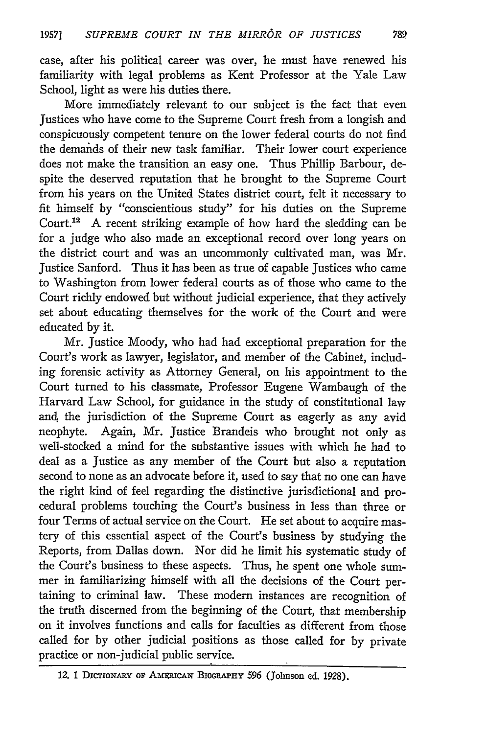case, after his political career was over, he must have renewed his familiarity with legal problems as Kent Professor at the Yale Law School, light as were his duties there.

More immediately relevant to our subject is the fact that even Justices who have come to the Supreme Court fresh from a longish and conspicuously competent tenure on the lower federal courts do not find the demands of their new task familiar. Their lower court experience does not make the transition an easy one. Thus Phillip Barbour, despite the deserved reputation that he brought to the Supreme Court from his years on the United States district court, felt it necessary to fit himself by "conscientious study" for his duties on the Supreme Court.<sup>12</sup> A recent striking example of how hard the sledding can be for a judge who also made an exceptional record over long years on the district court and was an uncommonly cultivated man, was Mr. Justice Sanford. Thus it has been as true of capable Justices who came to Washington from lower federal courts as of those who came to the Court richly endowed but without judicial experience, that they actively set about educating themselves for the work of the Court and were educated by it.

Mr. Justice Moody, who had had exceptional preparation for the Court's work as lawyer, legislator, and member of the Cabinet, including forensic activity as Attorney General, on his appointment to the Court turned to his classmate, Professor Eugene Wambaugh of the Harvard Law School, for guidance in the study of constitutional law and the jurisdiction of the Supreme Court as eagerly as any avid neophyte. Again, Mr. Justice Brandeis who brought not only as well-stocked a mind for the substantive issues with which he had to deal as a Justice as any member of the Court but also a reputation second to none as an advocate before it, used to say that no one can have the right kind of feel regarding the distinctive jurisdictional and procedural problems touching the Court's business in less than three or four Terms of actual service on the Court. He set about to acquire mastery of this essential aspect of the Court's business by studying the Reports, from Dallas down. Nor did he limit his systematic study of the Court's business to these aspects. Thus, he spent one whole summer in familiarizing himself with all the decisions of the Court pertaining to criminal law. These modern instances are recognition of the truth discerned from the beginning of the Court, that membership on it involves functions and calls for faculties as different from those called for by other judicial positions as those called for by private practice or non-judicial public service.

**<sup>12. 1</sup> DICTIoNARY** op AmiwIcAN **BIOGRAPHY** 596 (Johnson **ed. 1928).**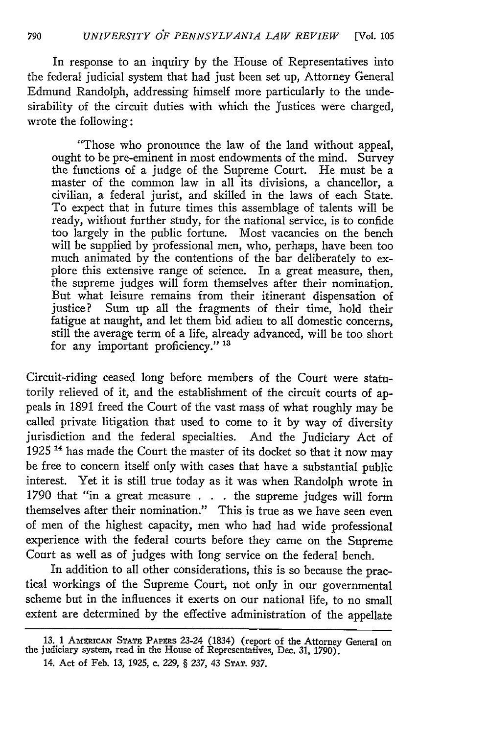In response to an inquiry by the House of Representatives into the federal judicial system that had just been set up, Attorney General Edmund Randolph, addressing himself more particularly to the undesirability of the circuit duties with which the Justices were charged, wrote the following:

"Those who pronounce the law of the land without appeal, ought to be pre-eminent in most endowments of the mind. Survey the functions of a judge of the Supreme Court. He must be a master of the common law in all its divisions, a chancellor, a civilian, a federal jurist, and skilled in the laws of each State. To expect that in future times this assemblage of talents will be ready, without further study, for the national service, is to confide too largely in the public fortune. Most vacancies on the bench will be supplied by professional men, who, perhaps, have been too much animated by the contentions of the bar deliberately to explore this extensive range of science. In a great measure, then, the supreme judges will form themselves after their nomination. But what leisure remains from their itinerant dispensation of justice? Sum up all the fragments of their time, hold their fatigue at naught, and let them bid adieu to all domestic concerns, still the average term of a life, already advanced, will be too short for any important proficiency." **13**

Circuit-riding ceased long before members of the Court were statutorily relieved of it, and the establishment of the circuit courts of appeals in 1891 freed the Court of the vast mass of what roughly may be called private litigation that used to come to it by way of diversity jurisdiction and the federal specialties. And the Judiciary Act of 1925 **14** has made the Court the master of its docket so that it now may be free to concern itself only with cases that have a substantial public interest. Yet it is still true today as it was when Randolph wrote in 1790 that "in a great measure . **. .** the supreme judges will form themselves after their nomination." This is true as we have seen even of men of the highest capacity, men who had had wide professional experience with the federal courts before they came on the Supreme Court as well as of judges with long service on the federal bench.

In addition to all other considerations, this is so because the practical workings of the Supreme Court, not only in our governmental scheme but in the influences it exerts on our national life, to no small extent are determined by the effective administration of the appellate

<sup>13. 1</sup> AMERICAN STATE PAPERS 23-24 (1834) (report of the Attorney General on the judiciary system, read in the House of Representatives, Dec. 31, 1790).

<sup>14.</sup> Act of Feb. 13, 1925, c. 229, § *237,* 43 **STAT.** 937.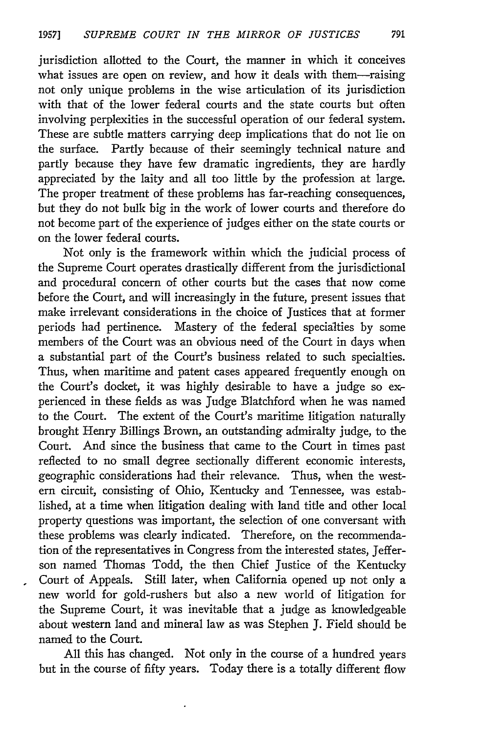jurisdiction allotted to the Court, the manner in which it conceives what issues are open on review, and how it deals with them--raising not only unique problems in the wise articulation of its jurisdiction with that of the lower federal courts and the state courts but often involving perplexities in the successful operation of our federal system. These are subtle matters carrying deep implications that do not lie on the surface. Partly because of their seemingly technical nature and partly because they have few dramatic ingredients, they are hardly appreciated by the laity and all too little by the profession at large. The proper treatment of these problems has far-reaching consequences, but they do not bulk big in the work of lower courts and therefore do not become part of the experience of judges either on the state courts or on the lower federal courts.

Not only is the framework within which the judicial process of the Supreme Court operates drastically different from the jurisdictional and procedural concern of other courts but the cases that now come before the Court, and will increasingly in the future, present issues that make irrelevant considerations in the choice of Justices that at former periods had pertinence. Mastery of the federal specialties by some members of the Court was an obvious need of the Court in days when a substantial part of the Court's business related to such specialties. Thus, when maritime and patent cases appeared frequently enough on the Court's docket, it was highly desirable to have a judge so experienced in these fields as was Judge Blatchford when he was named to the Court. The extent of the Court's maritime litigation naturally brought Henry Billings Brown, an outstanding admiralty judge, to the Court. And since the business that came to the Court in times past reflected to no small degree sectionally different economic interests, geographic considerations had their relevance. Thus, when the western circuit, consisting of Ohio, Kentucky and Tennessee, was established, at a time when litigation dealing with land title and other local property questions was important, the selection of one conversant with these problems was clearly indicated. Therefore, on the recommendation of the representatives in Congress from the interested states, Jefferson named Thomas Todd, the then Chief Justice of the Kentucky Court of Appeals. Still later, when California opened up not only a new world for gold-rushers but also a new world of litigation for the Supreme Court, it was inevitable that a judge as knowledgeable about western land and mineral law as was Stephen J. Field should be named to the Court.

**All** this has changed. Not only in the course of a hundred years but in the course of fifty years. Today there is a totally different flow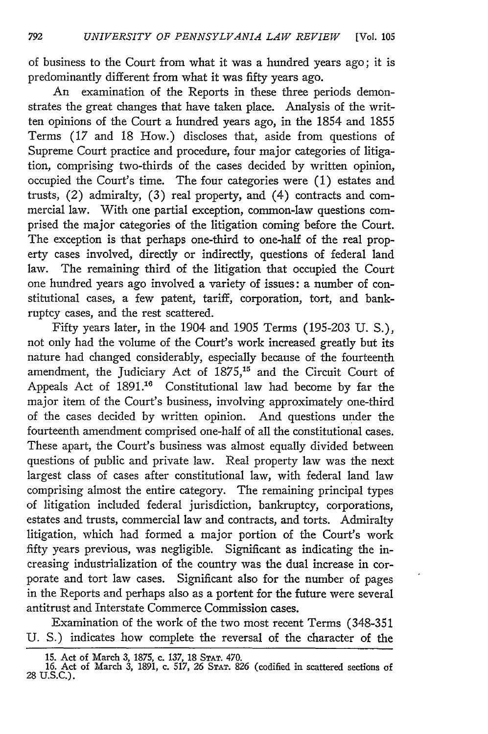of business to the Court from what it was a hundred years ago; it is predominantly different from what it was fifty years ago.

An examination of the Reports in these three periods demonstrates the great changes that have taken place. Analysis of the written opinions of the Court a hundred years ago, in the 1854 and 1855 Terms (17 and 18 How.) discloses that, aside from questions of Supreme Court practice and procedure, four major categories of litigation, comprising two-thirds of the cases decided by written opinion, occupied the Court's time. The four categories were (1) estates and trusts, (2) admiralty, (3) real property, and (4) contracts and commercial law. With one partial exception, common-law questions comprised the major categories of the litigation coming before the Court. The exception is that perhaps one-third to one-half of the real property cases involved, directly or indirectly, questions of federal land law. The remaining third of the litigation that occupied the Court one hundred years ago involved a variety of issues: a number of constitutional cases, a few patent, tariff, corporation, tort, and bankruptcy cases, and the rest scattered.

Fifty years later, in the 1904 and 1905 Terms (195-203 U. S.), not only had the volume of the Court's work increased greatly but its nature had changed considerably, especially because of the fourteenth amendment, the Judiciary Act of 1875,<sup>15</sup> and the Circuit Court of Appeals Act of 1891.<sup>16</sup> Constitutional law had become by far the major item of the Court's business, involving approximately one-third of the cases decided by written opinion. And questions under the fourteenth amendment comprised one-half of all the constitutional cases. These apart, the Court's business was almost equally divided between questions of public and private law. Real property law was the next largest class of cases after constitutional law, with federal land law comprising almost the entire category. The remaining principal types of litigation included federal jurisdiction, bankruptcy, corporations, estates and trusts, commercial law and contracts, and torts. Admiralty litigation, which had formed a major portion of the Court's work fifty years previous, was negligible. Significant as indicating the increasing industrialization of the country was the dual increase in corporate and tort law cases. Significant also for the number of pages in the Reports and perhaps also as a portent for the future were several antitrust and Interstate Commerce Commission cases.

Examination of the work of the two most recent Terms (348-351 U. S.) indicates how complete the reversal of the character of the

<sup>15.</sup> Act of March 3, 1875, c. 137, 18 **STAT.** 470.

<sup>16.</sup> Act of March 3, 1891, **c.** 517, 26 **STAT.** 826 (codified in scattered sections of 28 U.S.C.).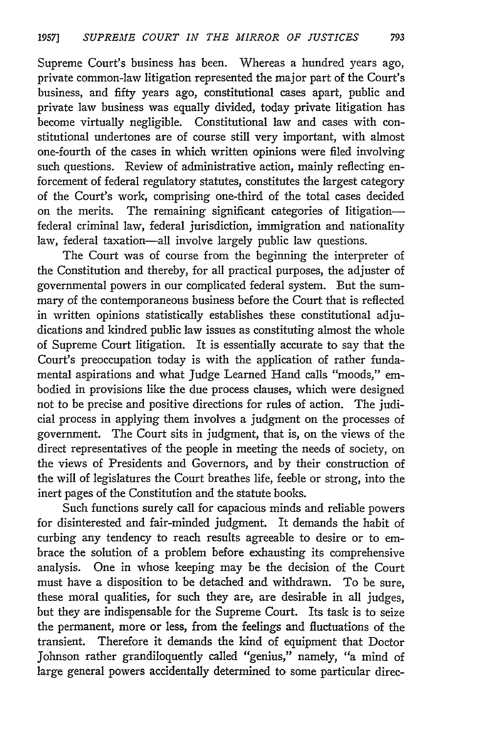Supreme Court's business has been. Whereas a hundred years ago, private common-law litigation represented the major part of the Court's business, and fifty years ago, constitutional cases apart, public and private law business was equally divided, today private litigation has become virtually negligible. Constitutional law and cases with constitutional undertones are of course still very important, with almost one-fourth of the cases in which written opinions were filed involving such questions. Review of administrative action, mainly reflecting enforcement of federal regulatory statutes, constitutes the largest category of the Court's work, comprising one-third of the total cases decided on the merits. The remaining significant categories of litigationfederal criminal law, federal jurisdiction, immigration and nationality law, federal taxation-all involve largely public law questions.

The Court was of course from the beginning the interpreter of the Constitution and thereby, for all practical purposes, the adjuster of governmental powers in our complicated federal system. But the summary of the contemporaneous business before the Court that is reflected in written opinions statistically establishes these constitutional adjudications and kindred public law issues as constituting almost the whole of Supreme Court litigation. It is essentially accurate to say that the Court's preoccupation today is with the application of rather fundamental aspirations and what Judge Learned Hand calls "moods," embodied in provisions like the due process clauses, which were designed not to be precise and positive directions for rules of action. The judicial process in applying them involves a judgment on the processes of government. The Court sits in judgment, that is, on the views of the direct representatives of the people in meeting the needs of society, on the views of Presidents and Governors, and by their construction of the will of legislatures the Court breathes life, feeble or strong, into the inert pages of the Constitution and the statute books.

Such functions surely call for capacious minds and reliable powers for disinterested and fair-minded judgment. It demands the habit of curbing any tendency to reach results agreeable to desire or to embrace the solution of a problem before exhausting its comprehensive analysis. One in whose keeping may be the decision of the Court must have a disposition to be detached and withdrawn. To be sure, these moral qualities, for such they are, are desirable in all judges, but they are indispensable for the Supreme Court. Its task is to seize the permanent, more or less, from the feelings and fluctuations of the transient. Therefore it demands the kind of equipment that Doctor Johnson rather grandiloquently called "genius," namely, "a mind of large general powers accidentally determined to some particular direc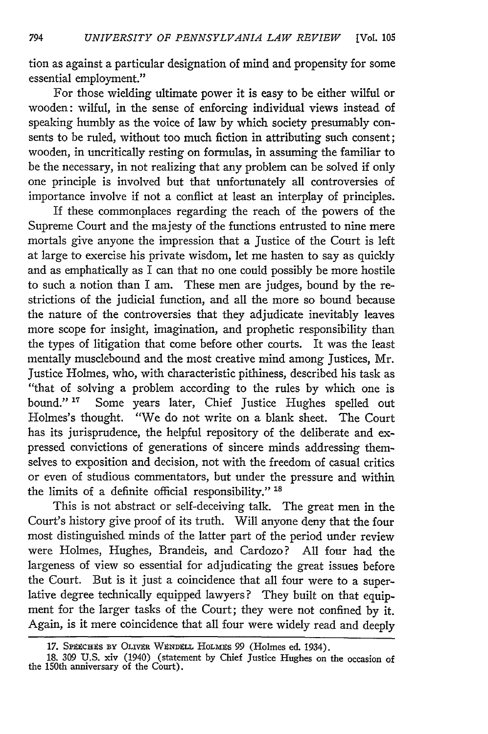tion as against a particular designation of mind and propensity for some essential employment."

For those wielding ultimate power it is easy to be either wilful or wooden: wilful, in the sense of enforcing individual views instead of speaking humbly as the voice of law by which society presumably consents to be ruled, without too much fiction in attributing such consent; wooden, in uncritically resting on formulas, in assuming the familiar to be the necessary, in not realizing that any problem can be solved if only one principle is involved but that unfortunately all controversies of importance involve if not a conflict at least an interplay of principles.

If these commonplaces regarding the reach of the powers of the Supreme Court and the majesty of the functions entrusted to nine mere mortals give anyone the impression that a Justice of the Court is left at large to exercise his private wisdom, let me hasten to say as quickly and as emphatically as I can that no one could possibly be more hostile to such a notion than I am. These men are judges, bound by the restrictions of the judicial function, and all the more so bound because the nature of the controversies that they adjudicate inevitably leaves more scope for insight, imagination, and prophetic responsibility than the types of litigation that come before other courts. It was the least mentally musclebound and the most creative mind among Justices, Mr. justice Holmes, who, with characteristic pithiness, described his task as "that of solving a problem according to the rules by which one is bound." **17** Some years later, Chief Justice Hughes spelled out Holmes's thought. "We do not write on a blank sheet. The Court has its jurisprudence, the helpful repository of the deliberate and expressed convictions of generations of sincere minds addressing themselves to exposition and decision, not with the freedom of casual critics or even of studious commentators, but under the pressure and within the limits of a definite official responsibility." **Is**

This is not abstract or self-deceiving talk. The great men in the Court's history give proof of its truth. Will anyone deny that the four most distinguished minds of the latter part of the period under review were Holmes, Hughes, Brandeis, and Cardozo? All four had the largeness of view so essential for adjudicating the great issues before the Court. But is it just a coincidence that all four were to a superlative degree technically equipped lawyers? They built on that equipment for the larger tasks of the Court; they were not confined by it. Again, is it mere coincidence that all four were widely read and deeply

<sup>17.</sup> SPEECHES BY OLIVER WENDELL HOLMES 99 (Holmes ed. 1934).

<sup>18. 309</sup> U.S. xiv (1940) (statement by Chief Justice Hughes on the occasion of the 150th anniversary of the Court).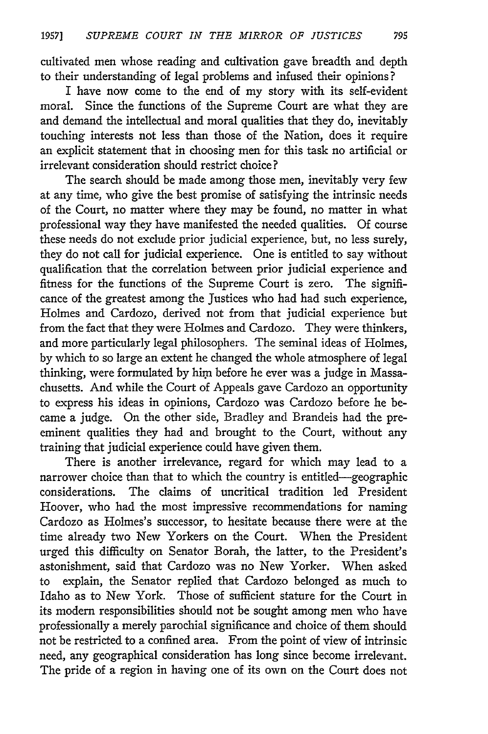cultivated men whose reading and cultivation gave breadth and depth to their understanding of legal problems and infused their opinions?

I have now come to the end of my story with its self-evident moral. Since the functions of the Supreme Court are what they are and demand the intellectual and moral qualities that they do, inevitably touching interests not less than those of the Nation, does it require an explicit statement that in choosing men for this task no artificial or irrelevant consideration should restrict choice?

The search should be made among those men, inevitably very few at any time, who give the best promise of satisfying the intrinsic needs of the Court, no matter where they may be found, no matter in what professional way they have manifested the needed qualities. Of course these needs do not exclude prior judicial experience, but, no less surely, they do not call for judicial experience. One is entitled to say without qualification that the correlation between prior judicial experience and fitness for the functions of the Supreme Court is zero. The significance of the greatest among the Justices who had had such experience, Holmes and Cardozo, derived not from that judicial experience but from the fact that they were Holmes and Cardozo. They were thinkers, and more particularly legal philosophers. The seminal ideas of Holmes, by which to so large an extent he changed the whole atmosphere of legal thinking, were formulated by him before he ever was a judge in Massachusetts. And while the Court of Appeals gave Cardozo an opportunity to express his ideas in opinions, Cardozo was Cardozo before he became a judge. On the other side, Bradley and Brandeis had the preeminent qualities they had and brought to the Court, without any training that judicial experience could have given them.

There is another irrelevance, regard for which may lead to a narrower choice than that to which the country is entitled-geographic considerations. The claims of uncritical tradition led President Hoover, who had the most impressive recommendations for naming Cardozo as Holmes's successor, to hesitate because there were at the time already two New Yorkers on the Court. When the President urged this difficulty on Senator Borah, the latter, to the President's astonishment, said that Cardozo was no New Yorker. When asked to explain, the Senator replied that Cardozo belonged as much to Idaho as to New York. Those of sufficient stature for the Court in its modem responsibilities should not be sought among men who have professionally a merely parochial significance and choice of them should not be restricted to a confined area. From the point of view of intrinsic need, any geographical consideration has long since become irrelevant. The pride of a region in having one of its own on the Court does not